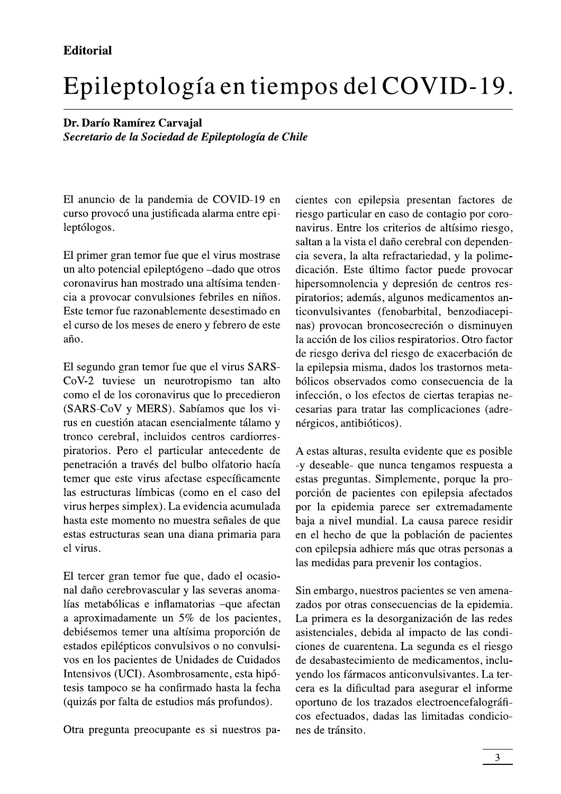## Epileptología en tiempos del COVID-19.

Dr. Darío Ramírez Carvajal Secretario de la Sociedad de Epileptología de Chile

El anuncio de la pandemia de COVID-19 en curso provocó una justificada alarma entre epileptólogos.

El primer gran temor fue que el virus mostrase un alto potencial epileptógeno -dado que otros coronavirus han mostrado una altísima tendencia a provocar convulsiones febriles en niños. Este temor fue razonablemente desestimado en el curso de los meses de enero y febrero de este  $a\tilde{n}$ o.

El segundo gran temor fue que el virus SARS-CoV-2 tuviese un neurotropismo tan alto como el de los coronavirus que lo precedieron (SARS-CoV y MERS). Sabíamos que los virus en cuestión atacan esencialmente tálamo y tronco cerebral, incluidos centros cardiorrespiratorios. Pero el particular antecedente de penetración a través del bulbo olfatorio hacía temer que este virus afectase específicamente las estructuras límbicas (como en el caso del virus herpes simplex). La evidencia acumulada hasta este momento no muestra señales de que estas estructuras sean una diana primaria para el virus.

El tercer gran temor fue que, dado el ocasional daño cerebrovascular y las severas anomalías metabólicas e inflamatorias -que afectan a aproximadamente un  $5\%$  de los pacientes, debiésemos temer una altísima proporción de estados epilépticos convulsivos o no convulsivos en los pacientes de Unidades de Cuidados Intensivos (UCI). Asombrosamente, esta hipótesis tampoco se ha confirmado hasta la fecha (quizás por falta de estudios más profundos).

Otra pregunta preocupante es si nuestros pa-

cientes con epilepsia presentan factores de riesgo particular en caso de contagio por coronavirus. Entre los criterios de altísimo riesgo, saltan a la vista el daño cerebral con dependencia severa, la alta refractariedad, y la polimedicación. Este último factor puede provocar hipersomnolencia y depresión de centros respiratorios; además, algunos medicamentos anticonvulsivantes (fenobarbital, benzodiacepinas) provocan broncosecreción o disminuyen la acción de los cilios respiratorios. Otro factor de riesgo deriva del riesgo de exacerbación de la epilepsia misma, dados los trastornos metabólicos observados como consecuencia de la infección, o los efectos de ciertas terapias necesarias para tratar las complicaciones (adrenérgicos, antibióticos).

A estas alturas, resulta evidente que es posible -y deseable- que nunca tengamos respuesta a estas preguntas. Simplemente, porque la proporción de pacientes con epilepsia afectados por la epidemia parece ser extremadamente baja a nivel mundial. La causa parece residir en el hecho de que la población de pacientes con epilepsia adhiere más que otras personas a las medidas para prevenir los contagios.

Sin embargo, nuestros pacientes se ven amenazados por otras consecuencias de la epidemia. La primera es la desorganización de las redes asistenciales, debida al impacto de las condiciones de cuarentena. La segunda es el riesgo de desabastecimiento de medicamentos, incluyendo los fármacos anticonvulsivantes. La tercera es la dificultad para asegurar el informe oportuno de los trazados electroencefalográficos efectuados, dadas las limitadas condiciones de tránsito.